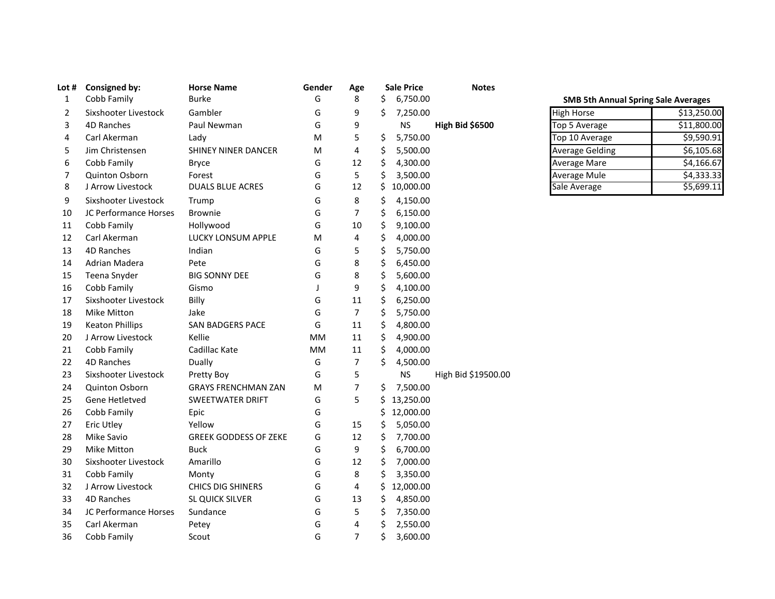| Lot # | <b>Consigned by:</b>   | <b>Horse Name</b>            | Gender    | Age            |     | <b>Sale Price</b> | <b>Notes</b>        |                                            |             |  |
|-------|------------------------|------------------------------|-----------|----------------|-----|-------------------|---------------------|--------------------------------------------|-------------|--|
| 1     | Cobb Family            | <b>Burke</b>                 | G         | 8              | \$. | 6,750.00          |                     | <b>SMB 5th Annual Spring Sale Averages</b> |             |  |
| 2     | Sixshooter Livestock   | Gambler                      | G         | 9              | Ŝ.  | 7,250.00          |                     | <b>High Horse</b>                          | \$13,250.00 |  |
| 3     | 4D Ranches             | Paul Newman                  | G         | 9              |     | <b>NS</b>         | High Bid \$6500     | Top 5 Average                              | \$11,800.00 |  |
| 4     | Carl Akerman           | Lady                         | м         | 5              | \$  | 5,750.00          |                     | Top 10 Average                             | \$9,590.91  |  |
| 5     | Jim Christensen        | SHINEY NINER DANCER          | M         | 4              | \$  | 5,500.00          |                     | <b>Average Gelding</b>                     | 56,105.68   |  |
| 6     | Cobb Family            | <b>Bryce</b>                 | G         | 12             | \$  | 4,300.00          |                     | <b>Average Mare</b>                        | \$4,166.67  |  |
| 7     | Quinton Osborn         | Forest                       | G         | 5              | \$  | 3,500.00          |                     | <b>Average Mule</b>                        | \$4,333.33  |  |
| 8     | J Arrow Livestock      | <b>DUALS BLUE ACRES</b>      | G         | 12             | \$  | 10,000.00         |                     | Sale Average                               | \$5,699.11  |  |
| 9     | Sixshooter Livestock   | Trump                        | G         | 8              | \$  | 4,150.00          |                     |                                            |             |  |
| 10    | JC Performance Horses  | <b>Brownie</b>               | G         | 7              | \$  | 6,150.00          |                     |                                            |             |  |
| 11    | Cobb Family            | Hollywood                    | G         | 10             | \$  | 9,100.00          |                     |                                            |             |  |
| 12    | Carl Akerman           | LUCKY LONSUM APPLE           | M         | 4              | \$  | 4,000.00          |                     |                                            |             |  |
| 13    | 4D Ranches             | Indian                       | G         | 5              | \$  | 5,750.00          |                     |                                            |             |  |
| 14    | Adrian Madera          | Pete                         | G         | 8              | \$  | 6,450.00          |                     |                                            |             |  |
| 15    | Teena Snyder           | <b>BIG SONNY DEE</b>         | G         | 8              | \$  | 5,600.00          |                     |                                            |             |  |
| 16    | Cobb Family            | Gismo                        |           | 9              | \$  | 4,100.00          |                     |                                            |             |  |
| 17    | Sixshooter Livestock   | Billy                        | G         | 11             | \$  | 6,250.00          |                     |                                            |             |  |
| 18    | Mike Mitton            | Jake                         | G         | $\overline{7}$ | \$  | 5,750.00          |                     |                                            |             |  |
| 19    | <b>Keaton Phillips</b> | <b>SAN BADGERS PACE</b>      | G         | 11             | \$  | 4,800.00          |                     |                                            |             |  |
| 20    | J Arrow Livestock      | Kellie                       | МM        | 11             | \$  | 4,900.00          |                     |                                            |             |  |
| 21    | Cobb Family            | Cadillac Kate                | <b>MM</b> | 11             | \$  | 4,000.00          |                     |                                            |             |  |
| 22    | 4D Ranches             | Dually                       | G         | 7              | \$  | 4,500.00          |                     |                                            |             |  |
| 23    | Sixshooter Livestock   | Pretty Boy                   | G         | 5              |     | <b>NS</b>         | High Bid \$19500.00 |                                            |             |  |
| 24    | Quinton Osborn         | <b>GRAYS FRENCHMAN ZAN</b>   | M         | 7              | \$  | 7,500.00          |                     |                                            |             |  |
| 25    | Gene Hetletved         | SWEETWATER DRIFT             | G         | 5              |     | \$13,250.00       |                     |                                            |             |  |
| 26    | Cobb Family            | Epic                         | G         |                | Ś.  | 12,000.00         |                     |                                            |             |  |
| 27    | <b>Eric Utley</b>      | Yellow                       | G         | 15             | \$  | 5,050.00          |                     |                                            |             |  |
| 28    | Mike Savio             | <b>GREEK GODDESS OF ZEKE</b> | G         | 12             | \$  | 7,700.00          |                     |                                            |             |  |
| 29    | Mike Mitton            | <b>Buck</b>                  | G         | 9              | \$  | 6,700.00          |                     |                                            |             |  |
| 30    | Sixshooter Livestock   | Amarillo                     | G         | 12             | \$  | 7,000.00          |                     |                                            |             |  |
| 31    | Cobb Family            | Monty                        | G         | 8              | \$  | 3,350.00          |                     |                                            |             |  |
| 32    | J Arrow Livestock      | <b>CHICS DIG SHINERS</b>     | G         | 4              | \$. | 12,000.00         |                     |                                            |             |  |
| 33    | 4D Ranches             | SL QUICK SILVER              | G         | 13             | \$  | 4,850.00          |                     |                                            |             |  |
| 34    | JC Performance Horses  | Sundance                     | G         | 5              | \$  | 7,350.00          |                     |                                            |             |  |
| 35    | Carl Akerman           | Petey                        | G         | 4              | \$  | 2,550.00          |                     |                                            |             |  |
| 36    | Cobb Family            | Scout                        | G         | $\overline{7}$ | \$  | 3,600.00          |                     |                                            |             |  |

## **SMB 5th Annual Spring Sale Averages**

| <b>High Horse</b>      | \$13,250.00 |
|------------------------|-------------|
| Top 5 Average          | \$11,800.00 |
| Top 10 Average         | \$9,590.91  |
| <b>Average Gelding</b> | \$6,105.68  |
| <b>Average Mare</b>    | \$4,166.67  |
| <b>Average Mule</b>    | \$4,333.33  |
| Sale Average           | \$5,699.11  |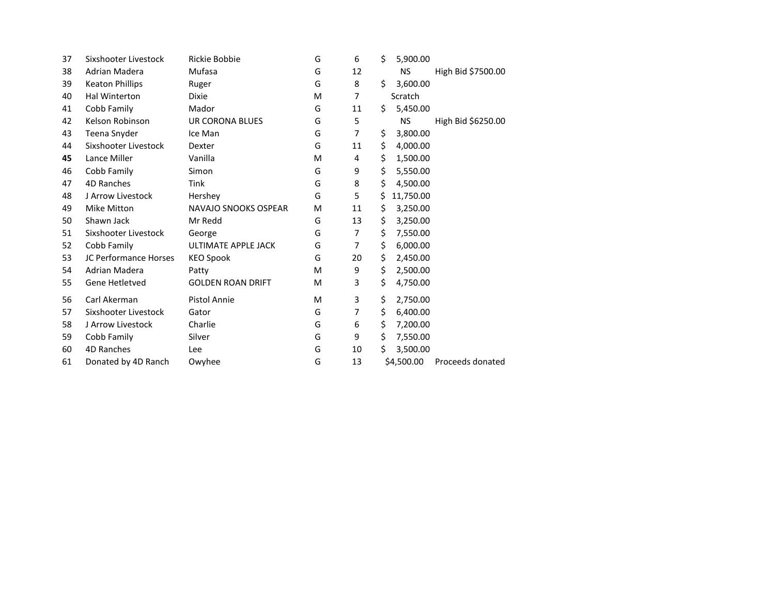| 37 | Sixshooter Livestock   | Rickie Bobbie            | G | 6  | \$  | 5,900.00   |                    |
|----|------------------------|--------------------------|---|----|-----|------------|--------------------|
| 38 | Adrian Madera          | Mufasa                   | G | 12 |     | <b>NS</b>  | High Bid \$7500.00 |
| 39 | <b>Keaton Phillips</b> | Ruger                    | G | 8  | \$. | 3,600.00   |                    |
| 40 | Hal Winterton          | <b>Dixie</b>             | M | 7  |     | Scratch    |                    |
| 41 | Cobb Family            | Mador                    | G | 11 | Ś.  | 5,450.00   |                    |
| 42 | Kelson Robinson        | UR CORONA BLUES          | G | 5  |     | <b>NS</b>  | High Bid \$6250.00 |
| 43 | Teena Snyder           | Ice Man                  | G | 7  | \$  | 3,800.00   |                    |
| 44 | Sixshooter Livestock   | Dexter                   | G | 11 | \$  | 4,000.00   |                    |
| 45 | Lance Miller           | Vanilla                  | M | 4  | \$  | 1,500.00   |                    |
| 46 | Cobb Family            | Simon                    | G | 9  | \$  | 5,550.00   |                    |
| 47 | 4D Ranches             | <b>Tink</b>              | G | 8  | \$  | 4,500.00   |                    |
| 48 | J Arrow Livestock      | Hershey                  | G | 5  | \$  | 11,750.00  |                    |
| 49 | <b>Mike Mitton</b>     | NAVAJO SNOOKS OSPEAR     | M | 11 | \$  | 3,250.00   |                    |
| 50 | Shawn Jack             | Mr Redd                  | G | 13 | \$  | 3,250.00   |                    |
| 51 | Sixshooter Livestock   | George                   | G | 7  | \$  | 7,550.00   |                    |
| 52 | Cobb Family            | ULTIMATE APPLE JACK      | G | 7  | \$  | 6,000.00   |                    |
| 53 | JC Performance Horses  | <b>KEO Spook</b>         | G | 20 | \$  | 2,450.00   |                    |
| 54 | Adrian Madera          | Patty                    | м | 9  | \$  | 2,500.00   |                    |
| 55 | Gene Hetletved         | <b>GOLDEN ROAN DRIFT</b> | м | 3  | \$  | 4,750.00   |                    |
| 56 | Carl Akerman           | <b>Pistol Annie</b>      | м | 3  | \$  | 2,750.00   |                    |
| 57 | Sixshooter Livestock   | Gator                    | G | 7  | \$  | 6,400.00   |                    |
| 58 | J Arrow Livestock      | Charlie                  | G | 6  | \$  | 7,200.00   |                    |
| 59 | Cobb Family            | Silver                   | G | 9  | \$  | 7,550.00   |                    |
| 60 | 4D Ranches             | Lee                      | G | 10 | \$  | 3,500.00   |                    |
| 61 | Donated by 4D Ranch    | Owyhee                   | G | 13 |     | \$4,500.00 | Proceeds donated   |